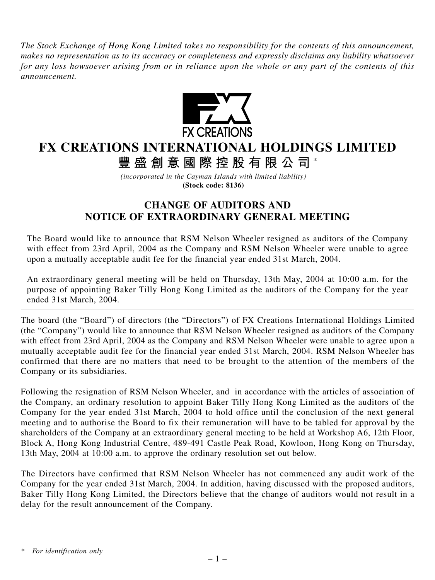*The Stock Exchange of Hong Kong Limited takes no responsibility for the contents of this announcement, makes no representation as to its accuracy or completeness and expressly disclaims any liability whatsoever for any loss howsoever arising from or in reliance upon the whole or any part of the contents of this announcement.*



## **FX CREATIONS INTERNATIONAL HOLDINGS LIMITED**

**豐盛創意國際控股有限公司** \*

*(incorporated in the Cayman Islands with limited liability)* **(Stock code: 8136)**

## **CHANGE OF AUDITORS AND NOTICE OF EXTRAORDINARY GENERAL MEETING**

The Board would like to announce that RSM Nelson Wheeler resigned as auditors of the Company with effect from 23rd April, 2004 as the Company and RSM Nelson Wheeler were unable to agree upon a mutually acceptable audit fee for the financial year ended 31st March, 2004.

An extraordinary general meeting will be held on Thursday, 13th May, 2004 at 10:00 a.m. for the purpose of appointing Baker Tilly Hong Kong Limited as the auditors of the Company for the year ended 31st March, 2004.

The board (the "Board") of directors (the "Directors") of FX Creations International Holdings Limited (the "Company") would like to announce that RSM Nelson Wheeler resigned as auditors of the Company with effect from 23rd April, 2004 as the Company and RSM Nelson Wheeler were unable to agree upon a mutually acceptable audit fee for the financial year ended 31st March, 2004. RSM Nelson Wheeler has confirmed that there are no matters that need to be brought to the attention of the members of the Company or its subsidiaries.

Following the resignation of RSM Nelson Wheeler, and in accordance with the articles of association of the Company, an ordinary resolution to appoint Baker Tilly Hong Kong Limited as the auditors of the Company for the year ended 31st March, 2004 to hold office until the conclusion of the next general meeting and to authorise the Board to fix their remuneration will have to be tabled for approval by the shareholders of the Company at an extraordinary general meeting to be held at Workshop A6, 12th Floor, Block A, Hong Kong Industrial Centre, 489-491 Castle Peak Road, Kowloon, Hong Kong on Thursday, 13th May, 2004 at 10:00 a.m. to approve the ordinary resolution set out below.

The Directors have confirmed that RSM Nelson Wheeler has not commenced any audit work of the Company for the year ended 31st March, 2004. In addition, having discussed with the proposed auditors, Baker Tilly Hong Kong Limited, the Directors believe that the change of auditors would not result in a delay for the result announcement of the Company.

*<sup>\*</sup> For identification only*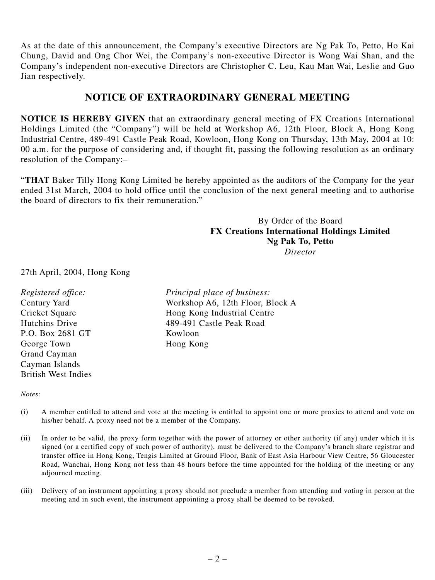As at the date of this announcement, the Company's executive Directors are Ng Pak To, Petto, Ho Kai Chung, David and Ong Chor Wei, the Company's non-executive Director is Wong Wai Shan, and the Company's independent non-executive Directors are Christopher C. Leu, Kau Man Wai, Leslie and Guo Jian respectively.

## **NOTICE OF EXTRAORDINARY GENERAL MEETING**

**NOTICE IS HEREBY GIVEN** that an extraordinary general meeting of FX Creations International Holdings Limited (the "Company") will be held at Workshop A6, 12th Floor, Block A, Hong Kong Industrial Centre, 489-491 Castle Peak Road, Kowloon, Hong Kong on Thursday, 13th May, 2004 at 10: 00 a.m. for the purpose of considering and, if thought fit, passing the following resolution as an ordinary resolution of the Company:–

"**THAT** Baker Tilly Hong Kong Limited be hereby appointed as the auditors of the Company for the year ended 31st March, 2004 to hold office until the conclusion of the next general meeting and to authorise the board of directors to fix their remuneration."

## By Order of the Board **FX Creations International Holdings Limited Ng Pak To, Petto** *Director*

27th April, 2004, Hong Kong

| Registered office:         | Principal place of business:     |
|----------------------------|----------------------------------|
| <b>Century Yard</b>        | Workshop A6, 12th Floor, Block A |
| Cricket Square             | Hong Kong Industrial Centre      |
| Hutchins Drive             | 489-491 Castle Peak Road         |
| P.O. Box 2681 GT           | Kowloon                          |
| George Town                | Hong Kong                        |
| Grand Cayman               |                                  |
| Cayman Islands             |                                  |
| <b>British West Indies</b> |                                  |

*Notes:*

- (i) A member entitled to attend and vote at the meeting is entitled to appoint one or more proxies to attend and vote on his/her behalf. A proxy need not be a member of the Company.
- (ii) In order to be valid, the proxy form together with the power of attorney or other authority (if any) under which it is signed (or a certified copy of such power of authority), must be delivered to the Company's branch share registrar and transfer office in Hong Kong, Tengis Limited at Ground Floor, Bank of East Asia Harbour View Centre, 56 Gloucester Road, Wanchai, Hong Kong not less than 48 hours before the time appointed for the holding of the meeting or any adjourned meeting.
- (iii) Delivery of an instrument appointing a proxy should not preclude a member from attending and voting in person at the meeting and in such event, the instrument appointing a proxy shall be deemed to be revoked.